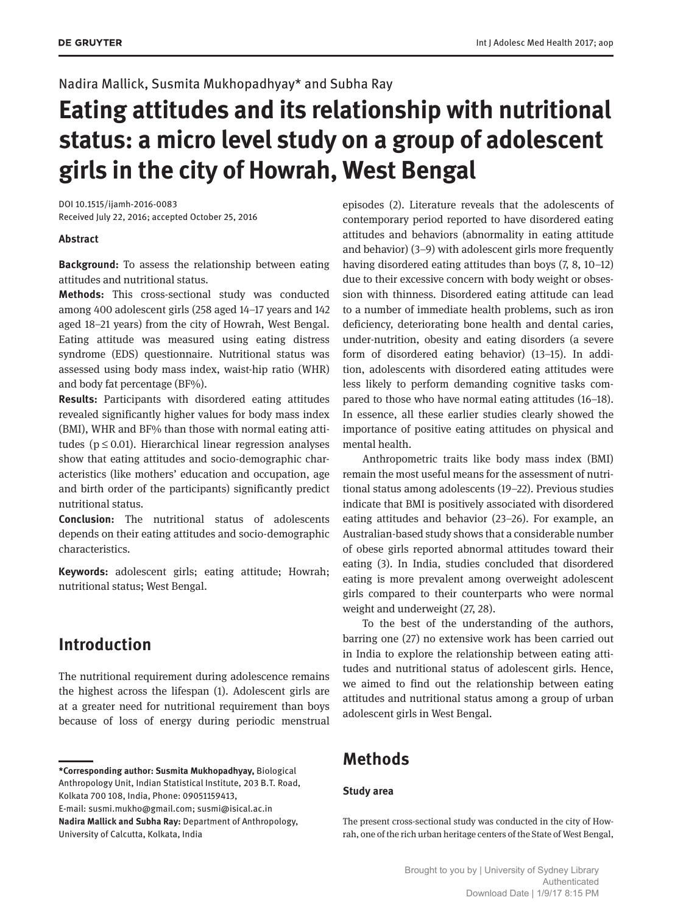### Nadira Mallick, Susmita Mukhopadhyay\* and Subha Ray

# **Eating attitudes and its relationship with nutritional status: a micro level study on a group of adolescent girls in the city of Howrah, West Bengal**

DOI 10.1515/ijamh-2016-0083 Received July 22, 2016; accepted October 25, 2016

### **Abstract**

**Background:** To assess the relationship between eating attitudes and nutritional status.

**Methods:** This cross-sectional study was conducted among 400 adolescent girls (258 aged 14–17 years and 142 aged 18–21 years) from the city of Howrah, West Bengal. Eating attitude was measured using eating distress syndrome (EDS) questionnaire. Nutritional status was assessed using body mass index, waist-hip ratio (WHR) and body fat percentage (BF%).

**Results:** Participants with disordered eating attitudes revealed significantly higher values for body mass index (BMI), WHR and BF% than those with normal eating attitudes ( $p \leq 0.01$ ). Hierarchical linear regression analyses show that eating attitudes and socio-demographic characteristics (like mothers' education and occupation, age and birth order of the participants) significantly predict nutritional status.

**Conclusion:** The nutritional status of adolescents depends on their eating attitudes and socio-demographic characteristics.

**Keywords:** adolescent girls; eating attitude; Howrah; nutritional status; West Bengal.

# **Introduction**

The nutritional requirement during adolescence remains the highest across the lifespan (1). Adolescent girls are at a greater need for nutritional requirement than boys because of loss of energy during periodic menstrual episodes (2). Literature reveals that the adolescents of contemporary period reported to have disordered eating attitudes and behaviors (abnormality in eating attitude and behavior) (3–9) with adolescent girls more frequently having disordered eating attitudes than boys (7, 8, 10–12) due to their excessive concern with body weight or obsession with thinness. Disordered eating attitude can lead to a number of immediate health problems, such as iron deficiency, deteriorating bone health and dental caries, under-nutrition, obesity and eating disorders (a severe form of disordered eating behavior) (13–15). In addition, adolescents with disordered eating attitudes were less likely to perform demanding cognitive tasks compared to those who have normal eating attitudes (16–18). In essence, all these earlier studies clearly showed the importance of positive eating attitudes on physical and mental health.

Anthropometric traits like body mass index (BMI) remain the most useful means for the assessment of nutritional status among adolescents (19–22). Previous studies indicate that BMI is positively associated with disordered eating attitudes and behavior (23–26). For example, an Australian-based study shows that a considerable number of obese girls reported abnormal attitudes toward their eating (3). In India, studies concluded that disordered eating is more prevalent among overweight adolescent girls compared to their counterparts who were normal weight and underweight (27, 28).

To the best of the understanding of the authors, barring one (27) no extensive work has been carried out in India to explore the relationship between eating attitudes and nutritional status of adolescent girls. Hence, we aimed to find out the relationship between eating attitudes and nutritional status among a group of urban adolescent girls in West Bengal.

# **Methods**

### **Study area**

The present cross-sectional study was conducted in the city of Howrah, one of the rich urban heritage centers of the State of West Bengal,

**<sup>\*</sup>Corresponding author: Susmita Mukhopadhyay,** Biological Anthropology Unit, Indian Statistical Institute, 203 B.T. Road, Kolkata 700 108, India, Phone: 09051159413,

E-mail: susmi.mukho@gmail.com; susmi@isical.ac.in **Nadira Mallick and Subha Ray:** Department of Anthropology, University of Calcutta, Kolkata, India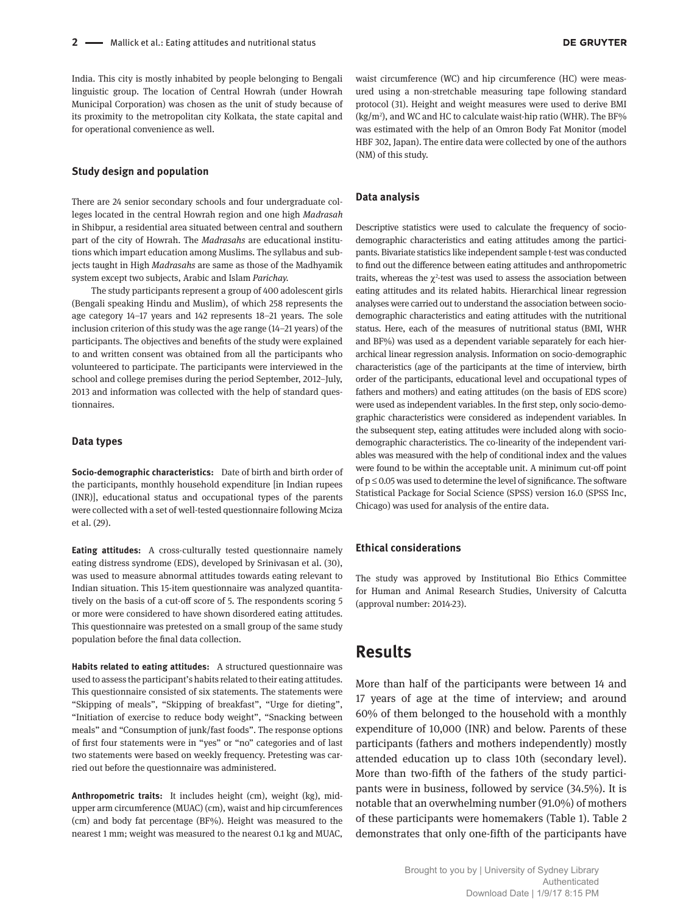India. This city is mostly inhabited by people belonging to Bengali linguistic group. The location of Central Howrah (under Howrah Municipal Corporation) was chosen as the unit of study because of its proximity to the metropolitan city Kolkata, the state capital and for operational convenience as well.

#### **Study design and population**

There are 24 senior secondary schools and four undergraduate colleges located in the central Howrah region and one high *Madrasah* in Shibpur, a residential area situated between central and southern part of the city of Howrah. The *Madrasahs* are educational institutions which impart education among Muslims. The syllabus and subjects taught in High *Madrasahs* are same as those of the Madhyamik system except two subjects, Arabic and Islam *Parichay.*

The study participants represent a group of 400 adolescent girls (Bengali speaking Hindu and Muslim), of which 258 represents the age category 14–17 years and 142 represents 18–21 years. The sole inclusion criterion of this study was the age range (14–21 years) of the participants. The objectives and benefits of the study were explained to and written consent was obtained from all the participants who volunteered to participate. The participants were interviewed in the school and college premises during the period September, 2012–July, 2013 and information was collected with the help of standard questionnaires.

#### **Data types**

**Socio-demographic characteristics:** Date of birth and birth order of the participants, monthly household expenditure [in Indian rupees (INR)], educational status and occupational types of the parents were collected with a set of well-tested questionnaire following Mciza et al. (29).

**Eating attitudes:** A cross-culturally tested questionnaire namely eating distress syndrome (EDS), developed by Srinivasan et al. (30), was used to measure abnormal attitudes towards eating relevant to Indian situation. This 15-item questionnaire was analyzed quantitatively on the basis of a cut-off score of 5. The respondents scoring 5 or more were considered to have shown disordered eating attitudes. This questionnaire was pretested on a small group of the same study population before the final data collection.

**Habits related to eating attitudes:** A structured questionnaire was used to assess the participant's habits related to their eating attitudes. This questionnaire consisted of six statements. The statements were "Skipping of meals", "Skipping of breakfast", "Urge for dieting", "Initiation of exercise to reduce body weight", "Snacking between meals" and "Consumption of junk/fast foods". The response options of first four statements were in "yes" or "no" categories and of last two statements were based on weekly frequency. Pretesting was carried out before the questionnaire was administered.

**Anthropometric traits:** It includes height (cm), weight (kg), midupper arm circumference (MUAC) (cm), waist and hip circumferences (cm) and body fat percentage (BF%). Height was measured to the nearest 1 mm; weight was measured to the nearest 0.1 kg and MUAC, waist circumference (WC) and hip circumference (HC) were measured using a non-stretchable measuring tape following standard protocol (31). Height and weight measures were used to derive BMI  $\frac{\text{kg}}{m^2}$ , and WC and HC to calculate waist-hip ratio (WHR). The BF% was estimated with the help of an Omron Body Fat Monitor (model HBF 302, Japan). The entire data were collected by one of the authors (NM) of this study.

#### **Data analysis**

Descriptive statistics were used to calculate the frequency of sociodemographic characteristics and eating attitudes among the participants. Bivariate statistics like independent sample t-test was conducted to find out the difference between eating attitudes and anthropometric traits, whereas the  $\chi^2$ -test was used to assess the association between eating attitudes and its related habits. Hierarchical linear regression analyses were carried out to understand the association between sociodemographic characteristics and eating attitudes with the nutritional status. Here, each of the measures of nutritional status (BMI, WHR and BF%) was used as a dependent variable separately for each hierarchical linear regression analysis. Information on socio-demographic characteristics (age of the participants at the time of interview, birth order of the participants, educational level and occupational types of fathers and mothers) and eating attitudes (on the basis of EDS score) were used as independent variables. In the first step, only socio-demographic characteristics were considered as independent variables. In the subsequent step, eating attitudes were included along with sociodemographic characteristics. The co-linearity of the independent variables was measured with the help of conditional index and the values were found to be within the acceptable unit. A minimum cut-off point of  $p \leq 0.05$  was used to determine the level of significance. The software Statistical Package for Social Science (SPSS) version 16.0 (SPSS Inc, Chicago) was used for analysis of the entire data.

#### **Ethical considerations**

The study was approved by Institutional Bio Ethics Committee for Human and Animal Research Studies, University of Calcutta (approval number: 2014-23).

### **Results**

More than half of the participants were between 14 and 17 years of age at the time of interview; and around 60% of them belonged to the household with a monthly expenditure of 10,000 (INR) and below. Parents of these participants (fathers and mothers independently) mostly attended education up to class 10th (secondary level). More than two-fifth of the fathers of the study participants were in business, followed by service (34.5%). It is notable that an overwhelming number (91.0%) of mothers of these participants were homemakers (Table 1). Table 2 demonstrates that only one-fifth of the participants have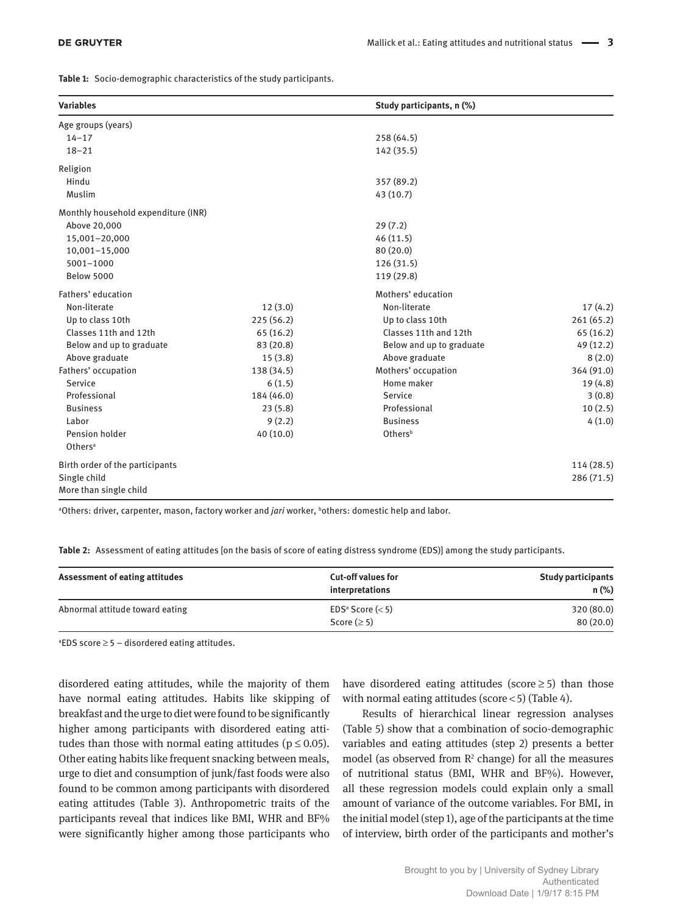|  | Table 1: Socio-demographic characteristics of the study participants. |  |  |  |
|--|-----------------------------------------------------------------------|--|--|--|
|--|-----------------------------------------------------------------------|--|--|--|

| <b>Variables</b>                    |            | Study participants, n (%) |            |
|-------------------------------------|------------|---------------------------|------------|
| Age groups (years)                  |            |                           |            |
| $14 - 17$                           |            | 258 (64.5)                |            |
| $18 - 21$                           |            | 142 (35.5)                |            |
| Religion                            |            |                           |            |
| Hindu                               |            | 357 (89.2)                |            |
| Muslim                              |            | 43 (10.7)                 |            |
| Monthly household expenditure (INR) |            |                           |            |
| Above 20,000                        |            | 29(7.2)                   |            |
| 15,001-20,000                       |            | 46(11.5)                  |            |
| 10,001-15,000                       |            | 80(20.0)                  |            |
| $5001 - 1000$                       |            | 126 (31.5)                |            |
| <b>Below 5000</b>                   |            | 119 (29.8)                |            |
| Fathers' education                  |            | Mothers' education        |            |
| Non-literate                        | 12(3.0)    | Non-literate              | 17(4.2)    |
| Up to class 10th                    | 225(56.2)  | Up to class 10th          | 261(65.2)  |
| Classes 11th and 12th               | 65(16.2)   | Classes 11th and 12th     | 65 (16.2)  |
| Below and up to graduate            | 83 (20.8)  | Below and up to graduate  | 49 (12.2)  |
| Above graduate                      | 15(3.8)    | Above graduate            | 8(2.0)     |
| Fathers' occupation                 | 138 (34.5) | Mothers' occupation       | 364 (91.0) |
| Service                             | 6(1.5)     | Home maker                | 19 (4.8)   |
| Professional                        | 184 (46.0) | Service                   | 3(0.8)     |
| <b>Business</b>                     | 23(5.8)    | Professional              | 10(2.5)    |
| Labor                               | 9(2.2)     | <b>Business</b>           | 4(1.0)     |
| Pension holder                      | 40(10.0)   | Othersb                   |            |
| Others <sup>a</sup>                 |            |                           |            |
| Birth order of the participants     |            |                           | 114(28.5)  |
| Single child                        |            |                           | 286 (71.5) |
| More than single child              |            |                           |            |

<sup>a</sup>Others: driver, carpenter, mason, factory worker and *jari* worker, <sup>b</sup>others: domestic help and labor.

**Table 2:** Assessment of eating attitudes [on the basis of score of eating distress syndrome (EDS)] among the study participants.

| Assessment of eating attitudes  | <b>Cut-off values for</b><br>interpretations | <b>Study participants</b><br>$n$ (%) |
|---------------------------------|----------------------------------------------|--------------------------------------|
| Abnormal attitude toward eating | $EDS^a$ Score ( $<$ 5)<br>Score $( \geq 5)$  | 320 (80.0)<br>80(20.0)               |

<sup>a</sup>EDS score  $\geq$  5 – disordered eating attitudes.

disordered eating attitudes, while the majority of them have normal eating attitudes. Habits like skipping of breakfast and the urge to diet were found to be significantly higher among participants with disordered eating attitudes than those with normal eating attitudes ( $p \leq 0.05$ ). Other eating habits like frequent snacking between meals, urge to diet and consumption of junk/fast foods were also found to be common among participants with disordered eating attitudes (Table 3). Anthropometric traits of the participants reveal that indices like BMI, WHR and BF% were significantly higher among those participants who

have disordered eating attitudes (score $\geq$ 5) than those with normal eating attitudes (score < 5) (Table 4).

Results of hierarchical linear regression analyses (Table 5) show that a combination of socio-demographic variables and eating attitudes (step 2) presents a better model (as observed from  $\mathbb{R}^2$  change) for all the measures of nutritional status (BMI, WHR and BF%). However, all these regression models could explain only a small amount of variance of the outcome variables. For BMI, in the initial model (step 1), age of the participants at the time of interview, birth order of the participants and mother's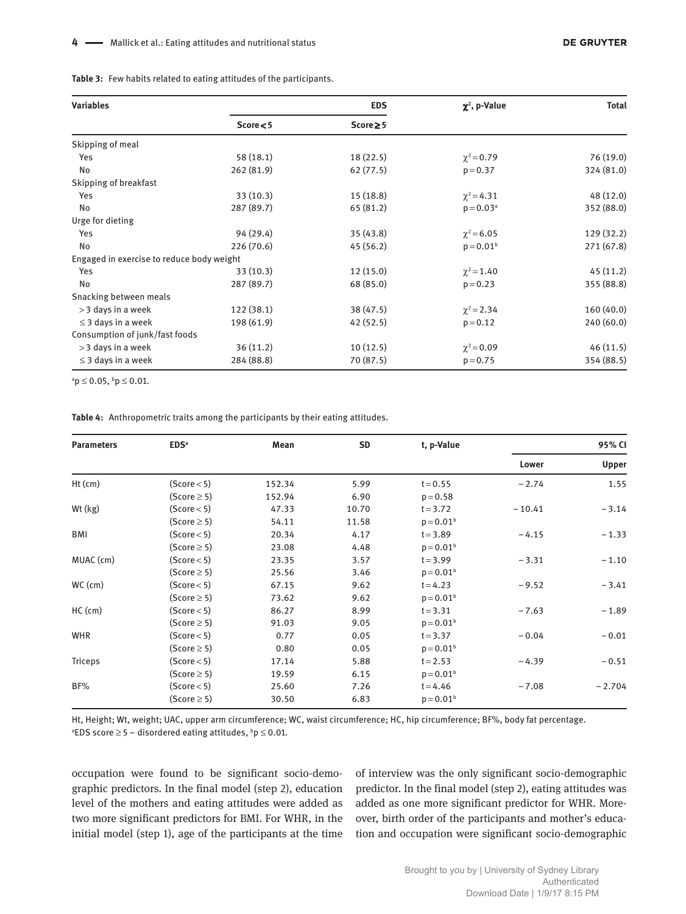| <b>Variables</b>                          | <b>EDS</b> |               | $\chi^2$ , p-Value | <b>Total</b> |  |
|-------------------------------------------|------------|---------------|--------------------|--------------|--|
|                                           | Score < 5  | $Score \ge 5$ |                    |              |  |
| Skipping of meal                          |            |               |                    |              |  |
| Yes                                       | 58(18.1)   | 18(22.5)      | $\chi^2 = 0.79$    | 76 (19.0)    |  |
| No                                        | 262(81.9)  | 62(77.5)      | $p = 0.37$         | 324 (81.0)   |  |
| Skipping of breakfast                     |            |               |                    |              |  |
| Yes                                       | 33(10.3)   | 15(18.8)      | $\chi^2$ = 4.31    | 48 (12.0)    |  |
| No                                        | 287 (89.7) | 65 (81.2)     | $p = 0.03a$        | 352 (88.0)   |  |
| Urge for dieting                          |            |               |                    |              |  |
| Yes                                       | 94 (29.4)  | 35(43.8)      | $\chi^2$ = 6.05    | 129 (32.2)   |  |
| No                                        | 226(70.6)  | 45(56.2)      | $p = 0.01b$        | 271 (67.8)   |  |
| Engaged in exercise to reduce body weight |            |               |                    |              |  |
| Yes                                       | 33(10.3)   | 12(15.0)      | $\chi^2$ = 1.40    | 45(11.2)     |  |
| No                                        | 287 (89.7) | 68 (85.0)     | $p = 0.23$         | 355 (88.8)   |  |
| Snacking between meals                    |            |               |                    |              |  |
| > 3 days in a week                        | 122(38.1)  | 38 (47.5)     | $\chi^2$ = 2.34    | 160(40.0)    |  |
| $\leq$ 3 days in a week                   | 198 (61.9) | 42(52.5)      | $p = 0.12$         | 240 (60.0)   |  |
| Consumption of junk/fast foods            |            |               |                    |              |  |
| > 3 days in a week                        | 36(11.2)   | 10(12.5)      | $\chi^2 = 0.09$    | 46(11.5)     |  |
| $\leq$ 3 days in a week                   | 284 (88.8) | 70 (87.5)     | $p = 0.75$         | 354 (88.5)   |  |

 $a^a$ **p** $\leq 0.05$ ,  $b^b$ **p** $\leq 0.01$ .

**Table 4:** Anthropometric traits among the participants by their eating attitudes.

| <b>Parameters</b> | EDS <sup>a</sup> | Mean   | <b>SD</b> | t, p-Value  | 95% CI   |              |
|-------------------|------------------|--------|-----------|-------------|----------|--------------|
|                   |                  |        |           |             | Lower    | <b>Upper</b> |
| $Ht$ (cm)         | (Score < 5)      | 152.34 | 5.99      | $t = 0.55$  | $-2.74$  | 1.55         |
|                   | $(Score \ge 5)$  | 152.94 | 6.90      | $p = 0.58$  |          |              |
| $Wt$ ( $kg$ )     | (Score < 5)      | 47.33  | 10.70     | $t = 3.72$  | $-10.41$ | $-3.14$      |
|                   | $(Score \ge 5)$  | 54.11  | 11.58     | $p = 0.01b$ |          |              |
| BMI               | (Score < 5)      | 20.34  | 4.17      | $t = 3.89$  | $-4.15$  | $-1.33$      |
|                   | $(Score \ge 5)$  | 23.08  | 4.48      | $p = 0.01b$ |          |              |
| MUAC (cm)         | (Score < 5)      | 23.35  | 3.57      | $t = 3.99$  | $-3.31$  | $-1.10$      |
|                   | $(Score \ge 5)$  | 25.56  | 3.46      | $p = 0.01b$ |          |              |
| $WC$ (cm)         | (Score < 5)      | 67.15  | 9.62      | $t = 4.23$  | $-9.52$  | $-3.41$      |
|                   | $(Score \ge 5)$  | 73.62  | 9.62      | $p = 0.01b$ |          |              |
| $HC$ (cm)         | (Score < 5)      | 86.27  | 8.99      | $t = 3.31$  | $-7.63$  | $-1.89$      |
|                   | $(Score \ge 5)$  | 91.03  | 9.05      | $p = 0.01b$ |          |              |
| <b>WHR</b>        | (Score < 5)      | 0.77   | 0.05      | $t = 3.37$  | $-0.04$  | $-0.01$      |
|                   | $(Score \ge 5)$  | 0.80   | 0.05      | $p = 0.01b$ |          |              |
| <b>Triceps</b>    | (Score < 5)      | 17.14  | 5.88      | $t = 2.53$  | $-4.39$  | $-0.51$      |
|                   | $(Score \ge 5)$  | 19.59  | 6.15      | $p = 0.01b$ |          |              |
| BF%               | (Score < 5)      | 25.60  | 7.26      | $t = 4.46$  | $-7.08$  | $-2.704$     |
|                   | $(Score \ge 5)$  | 30.50  | 6.83      | $p = 0.01b$ |          |              |

Ht, Height; Wt, weight; UAC, upper arm circumference; WC, waist circumference; HC, hip circumference; BF%, body fat percentage. <sup>a</sup>EDS score $\geq$ 5 – disordered eating attitudes, <sup>b</sup>p  $\leq$  0.01.

occupation were found to be significant socio-demographic predictors. In the final model (step 2), education level of the mothers and eating attitudes were added as two more significant predictors for BMI. For WHR, in the initial model (step 1), age of the participants at the time of interview was the only significant socio-demographic predictor. In the final model (step 2), eating attitudes was added as one more significant predictor for WHR. Moreover, birth order of the participants and mother's education and occupation were significant socio-demographic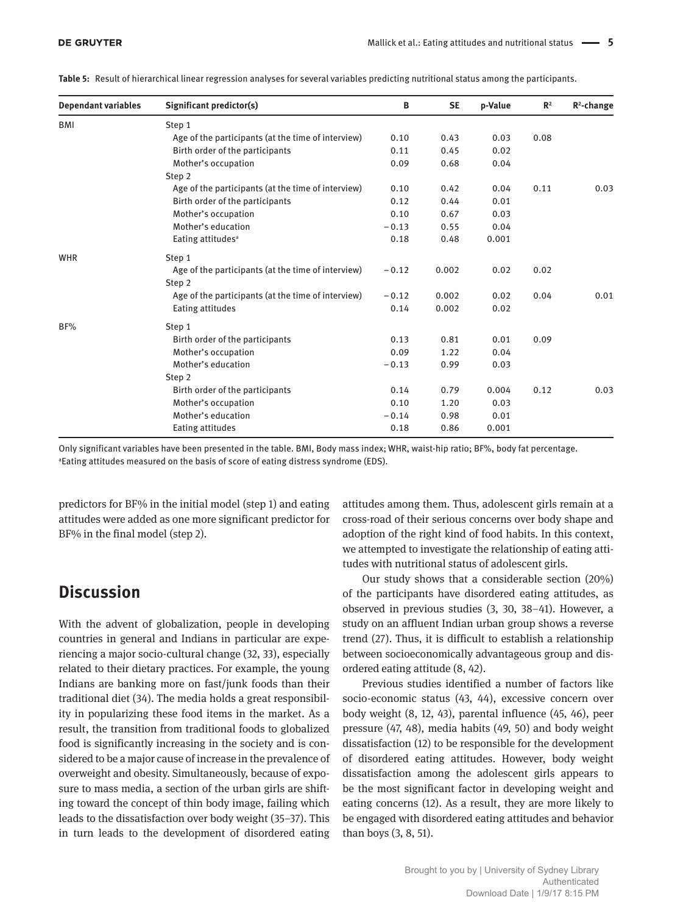| <b>Dependant variables</b> | Significant predictor(s)                           | В       | <b>SE</b> | p-Value | $\mathbb{R}^2$ | $R^2$ -change |
|----------------------------|----------------------------------------------------|---------|-----------|---------|----------------|---------------|
| <b>BMI</b>                 | Step 1                                             |         |           |         |                |               |
|                            | Age of the participants (at the time of interview) | 0.10    | 0.43      | 0.03    | 0.08           |               |
|                            | Birth order of the participants                    | 0.11    | 0.45      | 0.02    |                |               |
|                            | Mother's occupation                                | 0.09    | 0.68      | 0.04    |                |               |
|                            | Step 2                                             |         |           |         |                |               |
|                            | Age of the participants (at the time of interview) | 0.10    | 0.42      | 0.04    | 0.11           | 0.03          |
|                            | Birth order of the participants                    | 0.12    | 0.44      | 0.01    |                |               |
|                            | Mother's occupation                                | 0.10    | 0.67      | 0.03    |                |               |
|                            | Mother's education                                 | $-0.13$ | 0.55      | 0.04    |                |               |
|                            | Eating attitudes <sup>a</sup>                      | 0.18    | 0.48      | 0.001   |                |               |
| <b>WHR</b>                 | Step 1                                             |         |           |         |                |               |
|                            | Age of the participants (at the time of interview) | $-0.12$ | 0.002     | 0.02    | 0.02           |               |
|                            | Step 2                                             |         |           |         |                |               |
|                            | Age of the participants (at the time of interview) | $-0.12$ | 0.002     | 0.02    | 0.04           | 0.01          |
|                            | Eating attitudes                                   | 0.14    | 0.002     | 0.02    |                |               |
| BF%                        | Step 1                                             |         |           |         |                |               |
|                            | Birth order of the participants                    | 0.13    | 0.81      | 0.01    | 0.09           |               |
|                            | Mother's occupation                                | 0.09    | 1.22      | 0.04    |                |               |
|                            | Mother's education                                 | $-0.13$ | 0.99      | 0.03    |                |               |
|                            | Step 2                                             |         |           |         |                |               |
|                            | Birth order of the participants                    | 0.14    | 0.79      | 0.004   | 0.12           | 0.03          |
|                            | Mother's occupation                                | 0.10    | 1.20      | 0.03    |                |               |
|                            | Mother's education                                 | $-0.14$ | 0.98      | 0.01    |                |               |
|                            | Eating attitudes                                   | 0.18    | 0.86      | 0.001   |                |               |

**Table 5:** Result of hierarchical linear regression analyses for several variables predicting nutritional status among the participants.

Only significant variables have been presented in the table. BMI, Body mass index; WHR, waist-hip ratio; BF%, body fat percentage. <sup>a</sup>Eating attitudes measured on the basis of score of eating distress syndrome (EDS).

predictors for BF% in the initial model (step 1) and eating attitudes were added as one more significant predictor for BF% in the final model (step 2).

# **Discussion**

With the advent of globalization, people in developing countries in general and Indians in particular are experiencing a major socio-cultural change (32, 33), especially related to their dietary practices. For example, the young Indians are banking more on fast/junk foods than their traditional diet (34). The media holds a great responsibility in popularizing these food items in the market. As a result, the transition from traditional foods to globalized food is significantly increasing in the society and is considered to be a major cause of increase in the prevalence of overweight and obesity. Simultaneously, because of exposure to mass media, a section of the urban girls are shifting toward the concept of thin body image, failing which leads to the dissatisfaction over body weight (35–37). This in turn leads to the development of disordered eating

attitudes among them. Thus, adolescent girls remain at a cross-road of their serious concerns over body shape and adoption of the right kind of food habits. In this context, we attempted to investigate the relationship of eating attitudes with nutritional status of adolescent girls.

Our study shows that a considerable section (20%) of the participants have disordered eating attitudes, as observed in previous studies (3, 30, 38–41). However, a study on an affluent Indian urban group shows a reverse trend (27). Thus, it is difficult to establish a relationship between socioeconomically advantageous group and disordered eating attitude (8, 42).

Previous studies identified a number of factors like socio-economic status (43, 44), excessive concern over body weight (8, 12, 43), parental influence (45, 46), peer pressure (47, 48), media habits (49, 50) and body weight dissatisfaction (12) to be responsible for the development of disordered eating attitudes. However, body weight dissatisfaction among the adolescent girls appears to be the most significant factor in developing weight and eating concerns (12). As a result, they are more likely to be engaged with disordered eating attitudes and behavior than boys (3, 8, 51).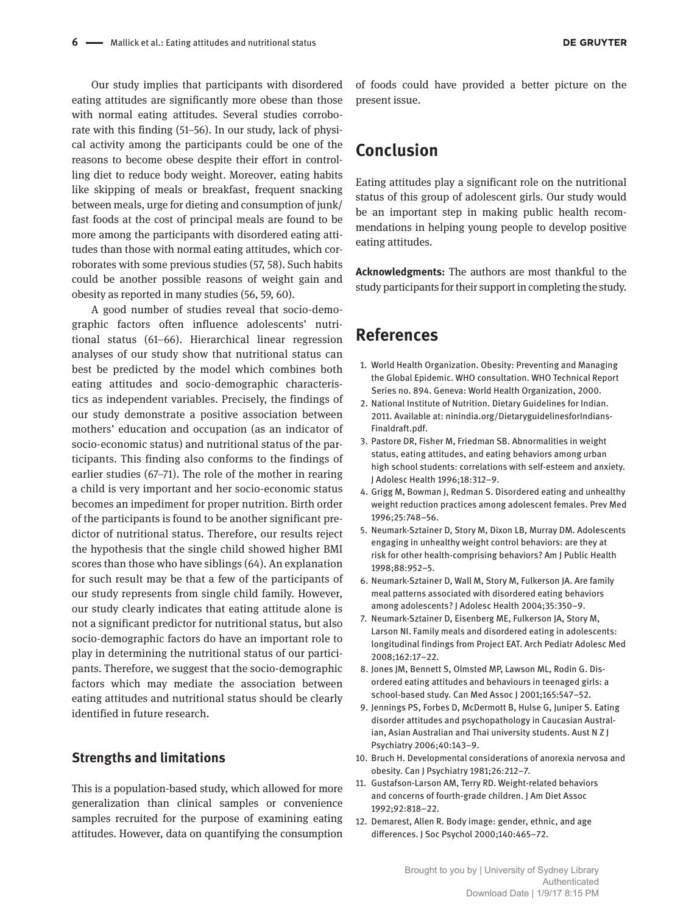Our study implies that participants with disordered eating attitudes are significantly more obese than those with normal eating attitudes. Several studies corroborate with this finding (51–56). In our study, lack of physical activity among the participants could be one of the reasons to become obese despite their effort in controlling diet to reduce body weight. Moreover, eating habits like skipping of meals or breakfast, frequent snacking between meals, urge for dieting and consumption of junk/ fast foods at the cost of principal meals are found to be more among the participants with disordered eating attitudes than those with normal eating attitudes, which corroborates with some previous studies (57, 58). Such habits could be another possible reasons of weight gain and obesity as reported in many studies (56, 59, 60).

A good number of studies reveal that socio-demographic factors often influence adolescents' nutritional status (61–66). Hierarchical linear regression analyses of our study show that nutritional status can best be predicted by the model which combines both eating attitudes and socio-demographic characteristics as independent variables. Precisely, the findings of our study demonstrate a positive association between mothers' education and occupation (as an indicator of socio-economic status) and nutritional status of the participants. This finding also conforms to the findings of earlier studies (67–71). The role of the mother in rearing a child is very important and her socio-economic status becomes an impediment for proper nutrition. Birth order of the participants is found to be another significant predictor of nutritional status. Therefore, our results reject the hypothesis that the single child showed higher BMI scores than those who have siblings (64). An explanation for such result may be that a few of the participants of our study represents from single child family. However, our study clearly indicates that eating attitude alone is not a significant predictor for nutritional status, but also socio-demographic factors do have an important role to play in determining the nutritional status of our participants. Therefore, we suggest that the socio-demographic factors which may mediate the association between eating attitudes and nutritional status should be clearly identified in future research.

### **Strengths and limitations**

This is a population-based study, which allowed for more generalization than clinical samples or convenience samples recruited for the purpose of examining eating attitudes. However, data on quantifying the consumption

of foods could have provided a better picture on the present issue.

# **Conclusion**

Eating attitudes play a significant role on the nutritional status of this group of adolescent girls. Our study would be an important step in making public health recommendations in helping young people to develop positive eating attitudes.

**Acknowledgments:** The authors are most thankful to the study participants for their support in completing the study.

# **References**

- 1. World Health Organization. Obesity: Preventing and Managing the Global Epidemic. WHO consultation. WHO Technical Report Series no. 894. Geneva: World Health Organization, 2000.
- 2. National Institute of Nutrition. Dietary Guidelines for Indian. 2011. Available at: ninindia.org/DietaryguidelinesforIndians-Finaldraft.pdf.
- 3. Pastore DR, Fisher M, Friedman SB. Abnormalities in weight status, eating attitudes, and eating behaviors among urban high school students: correlations with self-esteem and anxiety. J Adolesc Health 1996;18:312–9.
- 4. Grigg M, Bowman J, Redman S. Disordered eating and unhealthy weight reduction practices among adolescent females. Prev Med 1996;25:748–56.
- 5. Neumark-Sztainer D, Story M, Dixon LB, Murray DM. Adolescents engaging in unhealthy weight control behaviors: are they at risk for other health-comprising behaviors? Am J Public Health 1998;88:952–5.
- 6. Neumark-Sztainer D, Wall M, Story M, Fulkerson JA. Are family meal patterns associated with disordered eating behaviors among adolescents? J Adolesc Health 2004;35:350–9.
- 7. Neumark-Sztainer D, Eisenberg ME, Fulkerson JA, Story M, Larson NI. Family meals and disordered eating in adolescents: longitudinal findings from Project EAT. Arch Pediatr Adolesc Med 2008;162:17–22.
- 8. Jones JM, Bennett S, Olmsted MP, Lawson ML, Rodin G. Disordered eating attitudes and behaviours in teenaged girls: a school-based study. Can Med Assoc J 2001;165:547–52.
- 9. Jennings PS, Forbes D, McDermott B, Hulse G, Juniper S. Eating disorder attitudes and psychopathology in Caucasian Australian, Asian Australian and Thai university students. Aust N Z J Psychiatry 2006;40:143–9.
- 10. Bruch H. Developmental considerations of anorexia nervosa and obesity. Can J Psychiatry 1981;26:212–7.
- 11. Gustafson-Larson AM, Terry RD. Weight-related behaviors and concerns of fourth-grade children. J Am Diet Assoc 1992;92:818–22.
- 12. Demarest, Allen R. Body image: gender, ethnic, and age differences. J Soc Psychol 2000;140:465–72.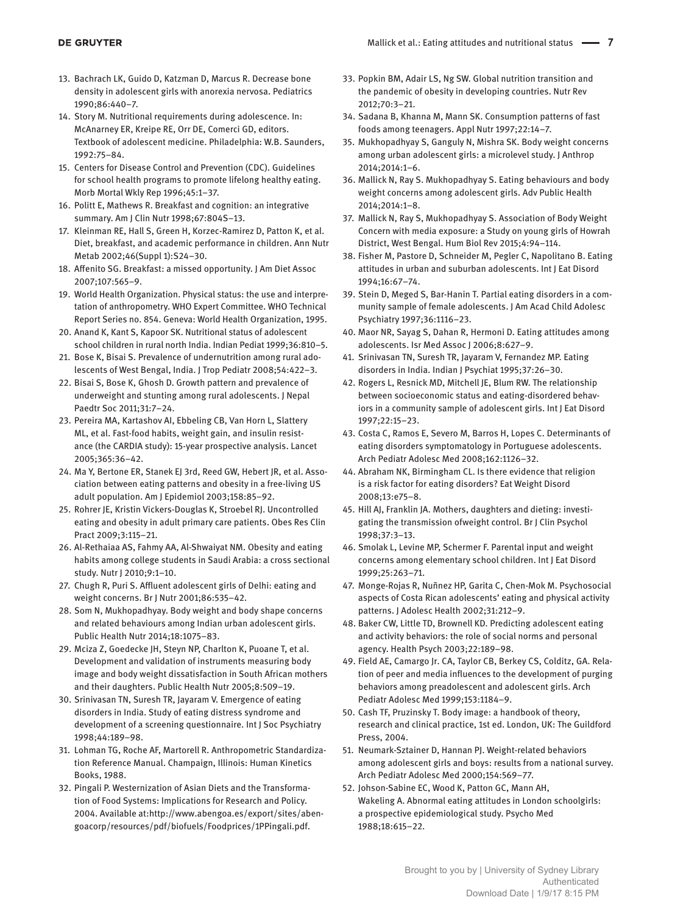- 13. Bachrach LK, Guido D, Katzman D, Marcus R. Decrease bone density in adolescent girls with anorexia nervosa. Pediatrics 1990;86:440–7.
- 14. Story M. Nutritional requirements during adolescence. In: McAnarney ER, Kreipe RE, Orr DE, Comerci GD, editors. Textbook of adolescent medicine. Philadelphia: W.B. Saunders, 1992:75–84.
- 15. Centers for Disease Control and Prevention (CDC). Guidelines for school health programs to promote lifelong healthy eating. Morb Mortal Wkly Rep 1996;45:1–37.
- 16. Politt E, Mathews R. Breakfast and cognition: an integrative summary. Am J Clin Nutr 1998;67:804S–13.
- 17. Kleinman RE, Hall S, Green H, Korzec-Ramirez D, Patton K, et al. Diet, breakfast, and academic performance in children. Ann Nutr Metab 2002;46(Suppl 1):S24–30.
- 18. Affenito SG. Breakfast: a missed opportunity. J Am Diet Assoc 2007;107:565–9.
- 19. World Health Organization. Physical status: the use and interpretation of anthropometry. WHO Expert Committee. WHO Technical Report Series no. 854. Geneva: World Health Organization, 1995.
- 20. Anand K, Kant S, Kapoor SK. Nutritional status of adolescent school children in rural north India. Indian Pediat 1999;36:810–5.
- 21. Bose K, Bisai S. Prevalence of undernutrition among rural adolescents of West Bengal, India. J Trop Pediatr 2008;54:422–3.
- 22. Bisai S, Bose K, Ghosh D. Growth pattern and prevalence of underweight and stunting among rural adolescents. J Nepal Paedtr Soc 2011;31:7–24.
- 23. Pereira MA, Kartashov AI, Ebbeling CB, Van Horn L, Slattery ML, et al. Fast-food habits, weight gain, and insulin resistance (the CARDIA study): 15-year prospective analysis. Lancet 2005;365:36–42.
- 24. Ma Y, Bertone ER, Stanek EJ 3rd, Reed GW, Hebert JR, et al. Association between eating patterns and obesity in a free-living US adult population. Am J Epidemiol 2003;158:85–92.
- 25. Rohrer JE, Kristin Vickers-Douglas K, Stroebel RJ. Uncontrolled eating and obesity in adult primary care patients. Obes Res Clin Pract 2009;3:115–21.
- 26. Al-Rethaiaa AS, Fahmy AA, Al-Shwaiyat NM. Obesity and eating habits among college students in Saudi Arabia: a cross sectional study. Nutr J 2010;9:1–10.
- 27. Chugh R, Puri S. Affluent adolescent girls of Delhi: eating and weight concerns. Br J Nutr 2001;86:535–42.
- 28. Som N, Mukhopadhyay. Body weight and body shape concerns and related behaviours among Indian urban adolescent girls. Public Health Nutr 2014;18:1075–83.
- 29. Mciza Z, Goedecke JH, Steyn NP, Charlton K, Puoane T, et al. Development and validation of instruments measuring body image and body weight dissatisfaction in South African mothers and their daughters. Public Health Nutr 2005;8:509–19.
- 30. Srinivasan TN, Suresh TR, Jayaram V. Emergence of eating disorders in India. Study of eating distress syndrome and development of a screening questionnaire. Int J Soc Psychiatry 1998;44:189–98.
- 31. Lohman TG, Roche AF, Martorell R. Anthropometric Standardization Reference Manual. Champaign, Illinois: Human Kinetics Books, 1988.
- 32. Pingali P. Westernization of Asian Diets and the Transformation of Food Systems: Implications for Research and Policy. 2004. Available at:http://www.abengoa.es/export/sites/abengoacorp/resources/pdf/biofuels/Foodprices/1PPingali.pdf.
- 33. Popkin BM, Adair LS, Ng SW. Global nutrition transition and the pandemic of obesity in developing countries. Nutr Rev 2012;70:3–21.
- 34. Sadana B, Khanna M, Mann SK. Consumption patterns of fast foods among teenagers. Appl Nutr 1997;22:14–7.
- 35. Mukhopadhyay S, Ganguly N, Mishra SK. Body weight concerns among urban adolescent girls: a microlevel study. J Anthrop 2014;2014:1–6.
- 36. Mallick N, Ray S. Mukhopadhyay S. Eating behaviours and body weight concerns among adolescent girls. Adv Public Health 2014;2014:1–8.
- 37. Mallick N, Ray S, Mukhopadhyay S. Association of Body Weight Concern with media exposure: a Study on young girls of Howrah District, West Bengal. Hum Biol Rev 2015;4:94–114.
- 38. Fisher M, Pastore D, Schneider M, Pegler C, Napolitano B. Eating attitudes in urban and suburban adolescents. Int J Eat Disord 1994;16:67–74.
- 39. Stein D, Meged S, Bar-Hanin T. Partial eating disorders in a community sample of female adolescents. J Am Acad Child Adolesc Psychiatry 1997;36:1116–23.
- 40. Maor NR, Sayag S, Dahan R, Hermoni D. Eating attitudes among adolescents. Isr Med Assoc J 2006;8:627–9.
- 41. Srinivasan TN, Suresh TR, Jayaram V, Fernandez MP. Eating disorders in India. Indian J Psychiat 1995;37:26–30.
- 42. Rogers L, Resnick MD, Mitchell JE, Blum RW. The relationship between socioeconomic status and eating-disordered behaviors in a community sample of adolescent girls. Int J Eat Disord 1997;22:15–23.
- 43. Costa C, Ramos E, Severo M, Barros H, Lopes C. Determinants of eating disorders symptomatology in Portuguese adolescents. Arch Pediatr Adolesc Med 2008;162:1126–32.
- 44. Abraham NK, Birmingham CL. Is there evidence that religion is a risk factor for eating disorders? Eat Weight Disord 2008;13:e75–8.
- 45. Hill AJ, Franklin JA. Mothers, daughters and dieting: investigating the transmission ofweight control. Br J Clin Psychol 1998;37:3–13.
- 46. Smolak L, Levine MP, Schermer F. Parental input and weight concerns among elementary school children. Int J Eat Disord 1999;25:263–71.
- 47. Monge-Rojas R, Nuñnez HP, Garita C, Chen-Mok M. Psychosocial aspects of Costa Rican adolescents' eating and physical activity patterns. J Adolesc Health 2002;31:212–9.
- 48. Baker CW, Little TD, Brownell KD. Predicting adolescent eating and activity behaviors: the role of social norms and personal agency. Health Psych 2003;22:189–98.
- 49. Field AE, Camargo Jr. CA, Taylor CB, Berkey CS, Colditz, GA. Relation of peer and media influences to the development of purging behaviors among preadolescent and adolescent girls. Arch Pediatr Adolesc Med 1999;153:1184–9.
- 50. Cash TF, Pruzinsky T. Body image: a handbook of theory, research and clinical practice, 1st ed. London, UK: The Guildford Press, 2004.
- 51. Neumark-Sztainer D, Hannan PJ. Weight-related behaviors among adolescent girls and boys: results from a national survey. Arch Pediatr Adolesc Med 2000;154:569–77.
- 52. Johson-Sabine EC, Wood K, Patton GC, Mann AH, Wakeling A. Abnormal eating attitudes in London schoolgirls: a prospective epidemiological study. Psycho Med 1988;18:615–22.